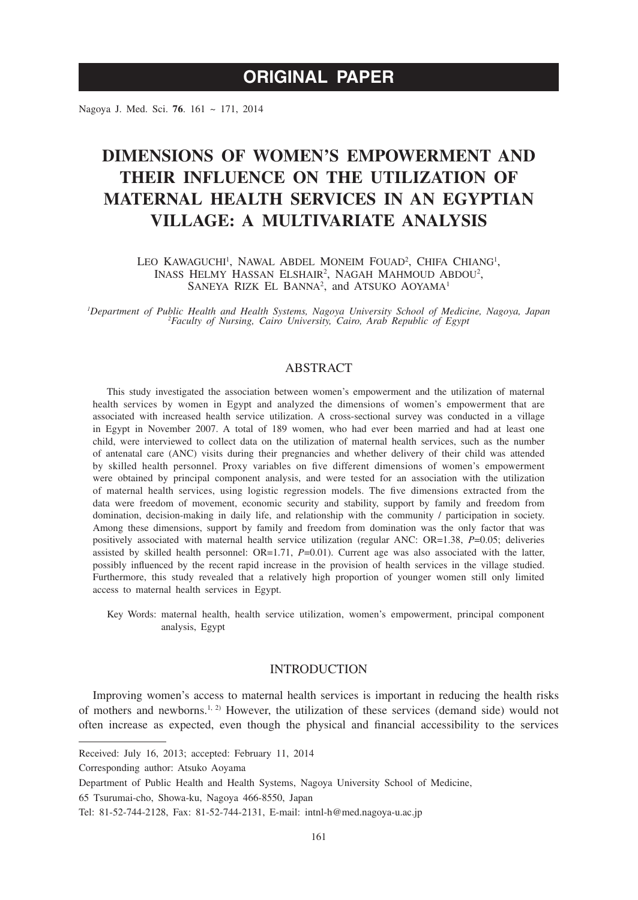Nagoya J. Med. Sci. **76**. 161 ~ 171, 2014

# **DIMENSIONS OF WOMEN'S EMPOWERMENT AND THEIR INFLUENCE ON THE UTILIZATION OF MATERNAL HEALTH SERVICES IN AN EGYPTIAN VILLAGE: A MULTIVARIATE ANALYSIS**

LEO KAWAGUCHI<sup>1</sup>, NAWAL ABDEL MONEIM FOUAD<sup>2</sup>, CHIFA CHIANG<sup>1</sup>, INASS HELMY HASSAN ELSHAIR<sup>2</sup>, NAGAH MAHMOUD ABDOU<sup>2</sup>, SANEYA RIZK EL BANNA<sup>2</sup>, and ATSUKO AOYAMA<sup>1</sup>

*1 Department of Public Health and Health Systems, Nagoya University School of Medicine, Nagoya, Japan <sup>2</sup> Faculty of Nursing, Cairo University, Cairo, Arab Republic of Egypt*

# **ABSTRACT**

This study investigated the association between women's empowerment and the utilization of maternal health services by women in Egypt and analyzed the dimensions of women's empowerment that are associated with increased health service utilization. A cross-sectional survey was conducted in a village in Egypt in November 2007. A total of 189 women, who had ever been married and had at least one child, were interviewed to collect data on the utilization of maternal health services, such as the number of antenatal care (ANC) visits during their pregnancies and whether delivery of their child was attended by skilled health personnel. Proxy variables on five different dimensions of women's empowerment were obtained by principal component analysis, and were tested for an association with the utilization of maternal health services, using logistic regression models. The five dimensions extracted from the data were freedom of movement, economic security and stability, support by family and freedom from domination, decision-making in daily life, and relationship with the community / participation in society. Among these dimensions, support by family and freedom from domination was the only factor that was positively associated with maternal health service utilization (regular ANC: OR=1.38, *P*=0.05; deliveries assisted by skilled health personnel:  $OR=1.71$ ,  $P=0.01$ ). Current age was also associated with the latter, possibly influenced by the recent rapid increase in the provision of health services in the village studied. Furthermore, this study revealed that a relatively high proportion of younger women still only limited access to maternal health services in Egypt.

Key Words: maternal health, health service utilization, women's empowerment, principal component analysis, Egypt

# INTRODUCTION

Improving women's access to maternal health services is important in reducing the health risks of mothers and newborns.<sup>1, 2)</sup> However, the utilization of these services (demand side) would not often increase as expected, even though the physical and financial accessibility to the services

Received: July 16, 2013; accepted: February 11, 2014

Corresponding author: Atsuko Aoyama

Department of Public Health and Health Systems, Nagoya University School of Medicine,

<sup>65</sup> Tsurumai-cho, Showa-ku, Nagoya 466-8550, Japan

Tel: 81-52-744-2128, Fax: 81-52-744-2131, E-mail: intnl-h@med.nagoya-u.ac.jp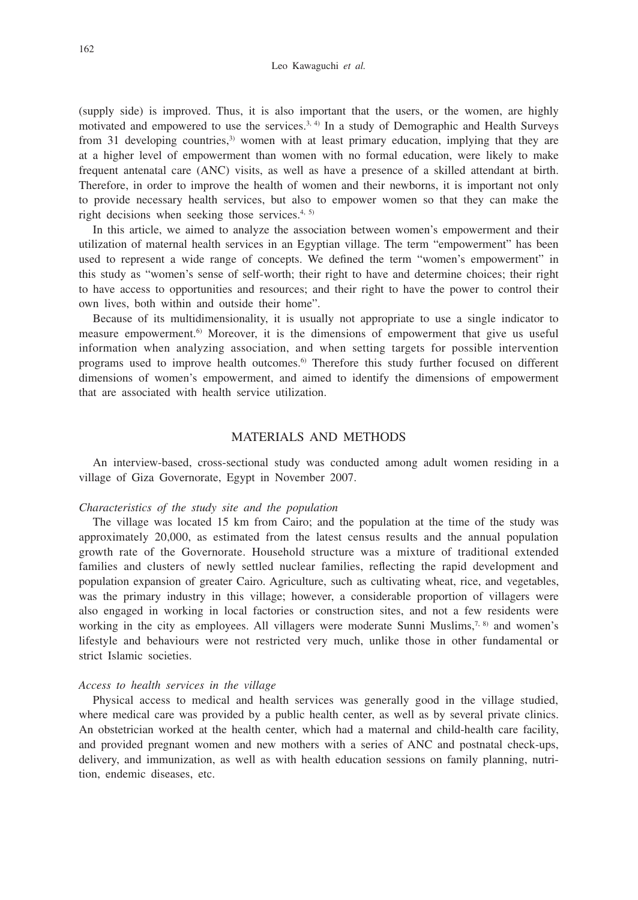Leo Kawaguchi *et al.*

(supply side) is improved. Thus, it is also important that the users, or the women, are highly motivated and empowered to use the services. $3, 4$  In a study of Demographic and Health Surveys from 31 developing countries, $3$  women with at least primary education, implying that they are at a higher level of empowerment than women with no formal education, were likely to make frequent antenatal care (ANC) visits, as well as have a presence of a skilled attendant at birth. Therefore, in order to improve the health of women and their newborns, it is important not only to provide necessary health services, but also to empower women so that they can make the right decisions when seeking those services.<sup>4, 5)</sup>

In this article, we aimed to analyze the association between women's empowerment and their utilization of maternal health services in an Egyptian village. The term "empowerment" has been used to represent a wide range of concepts. We defined the term "women's empowerment" in this study as "women's sense of self-worth; their right to have and determine choices; their right to have access to opportunities and resources; and their right to have the power to control their own lives, both within and outside their home".

Because of its multidimensionality, it is usually not appropriate to use a single indicator to measure empowerment.6) Moreover, it is the dimensions of empowerment that give us useful information when analyzing association, and when setting targets for possible intervention programs used to improve health outcomes.6) Therefore this study further focused on different dimensions of women's empowerment, and aimed to identify the dimensions of empowerment that are associated with health service utilization.

# MATERIALS AND METHODS

An interview-based, cross-sectional study was conducted among adult women residing in a village of Giza Governorate, Egypt in November 2007.

# *Characteristics of the study site and the population*

The village was located 15 km from Cairo; and the population at the time of the study was approximately 20,000, as estimated from the latest census results and the annual population growth rate of the Governorate. Household structure was a mixture of traditional extended families and clusters of newly settled nuclear families, reflecting the rapid development and population expansion of greater Cairo. Agriculture, such as cultivating wheat, rice, and vegetables, was the primary industry in this village; however, a considerable proportion of villagers were also engaged in working in local factories or construction sites, and not a few residents were working in the city as employees. All villagers were moderate Sunni Muslims,<sup>7, 8)</sup> and women's lifestyle and behaviours were not restricted very much, unlike those in other fundamental or strict Islamic societies.

# *Access to health services in the village*

Physical access to medical and health services was generally good in the village studied, where medical care was provided by a public health center, as well as by several private clinics. An obstetrician worked at the health center, which had a maternal and child-health care facility, and provided pregnant women and new mothers with a series of ANC and postnatal check-ups, delivery, and immunization, as well as with health education sessions on family planning, nutrition, endemic diseases, etc.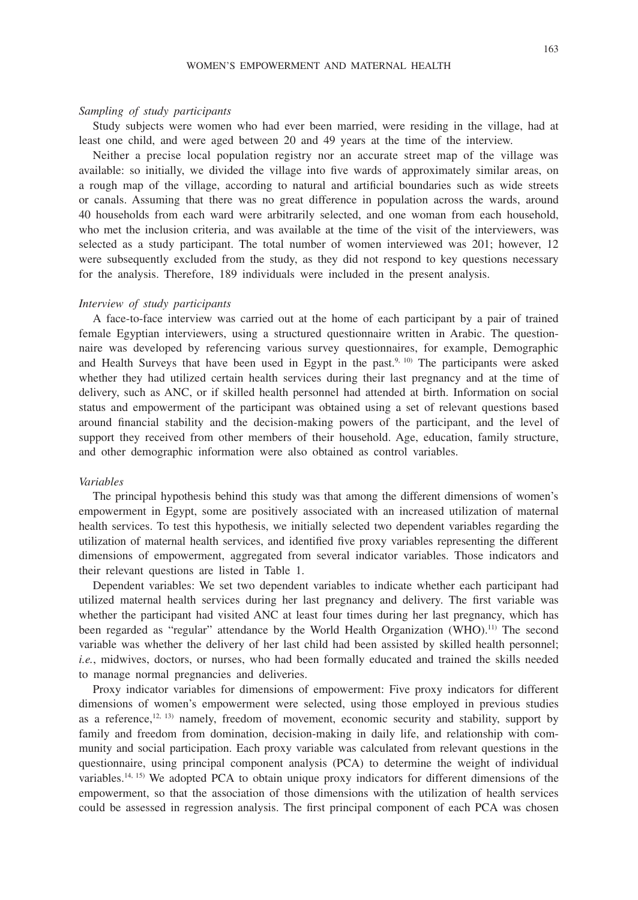### *Sampling of study participants*

Study subjects were women who had ever been married, were residing in the village, had at least one child, and were aged between 20 and 49 years at the time of the interview.

Neither a precise local population registry nor an accurate street map of the village was available: so initially, we divided the village into five wards of approximately similar areas, on a rough map of the village, according to natural and artificial boundaries such as wide streets or canals. Assuming that there was no great difference in population across the wards, around 40 households from each ward were arbitrarily selected, and one woman from each household, who met the inclusion criteria, and was available at the time of the visit of the interviewers, was selected as a study participant. The total number of women interviewed was 201; however, 12 were subsequently excluded from the study, as they did not respond to key questions necessary for the analysis. Therefore, 189 individuals were included in the present analysis.

#### *Interview of study participants*

A face-to-face interview was carried out at the home of each participant by a pair of trained female Egyptian interviewers, using a structured questionnaire written in Arabic. The questionnaire was developed by referencing various survey questionnaires, for example, Demographic and Health Surveys that have been used in Egypt in the past.<sup>9, 10)</sup> The participants were asked whether they had utilized certain health services during their last pregnancy and at the time of delivery, such as ANC, or if skilled health personnel had attended at birth. Information on social status and empowerment of the participant was obtained using a set of relevant questions based around financial stability and the decision-making powers of the participant, and the level of support they received from other members of their household. Age, education, family structure, and other demographic information were also obtained as control variables.

#### *Variables*

The principal hypothesis behind this study was that among the different dimensions of women's empowerment in Egypt, some are positively associated with an increased utilization of maternal health services. To test this hypothesis, we initially selected two dependent variables regarding the utilization of maternal health services, and identified five proxy variables representing the different dimensions of empowerment, aggregated from several indicator variables. Those indicators and their relevant questions are listed in Table 1.

Dependent variables: We set two dependent variables to indicate whether each participant had utilized maternal health services during her last pregnancy and delivery. The first variable was whether the participant had visited ANC at least four times during her last pregnancy, which has been regarded as "regular" attendance by the World Health Organization (WHO).<sup>11)</sup> The second variable was whether the delivery of her last child had been assisted by skilled health personnel; *i.e.*, midwives, doctors, or nurses, who had been formally educated and trained the skills needed to manage normal pregnancies and deliveries.

Proxy indicator variables for dimensions of empowerment: Five proxy indicators for different dimensions of women's empowerment were selected, using those employed in previous studies as a reference,<sup>12, 13)</sup> namely, freedom of movement, economic security and stability, support by family and freedom from domination, decision-making in daily life, and relationship with community and social participation. Each proxy variable was calculated from relevant questions in the questionnaire, using principal component analysis (PCA) to determine the weight of individual variables.14, 15) We adopted PCA to obtain unique proxy indicators for different dimensions of the empowerment, so that the association of those dimensions with the utilization of health services could be assessed in regression analysis. The first principal component of each PCA was chosen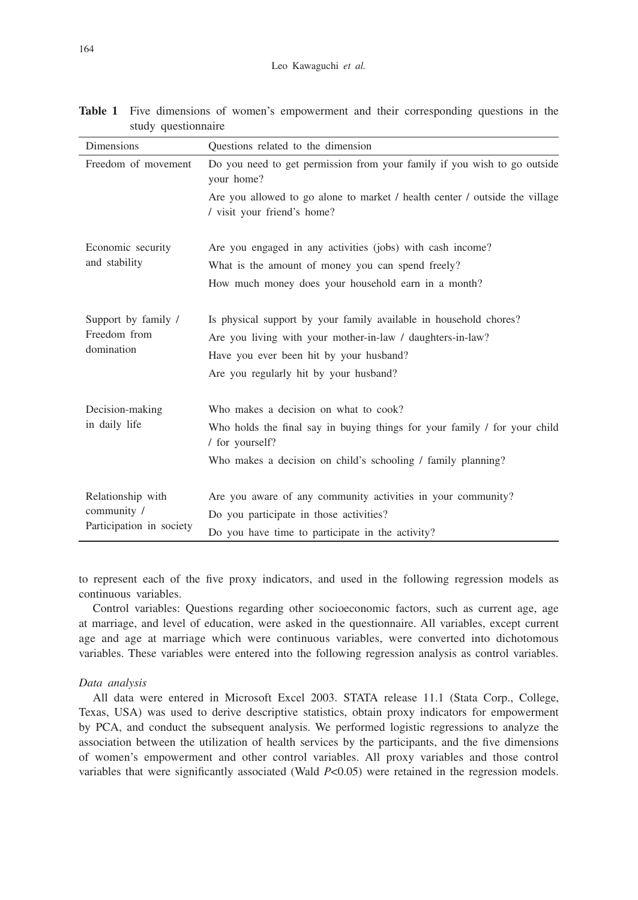| Dimensions                              | Questions related to the dimension                                                                         |
|-----------------------------------------|------------------------------------------------------------------------------------------------------------|
| Freedom of movement                     | Do you need to get permission from your family if you wish to go outside<br>your home?                     |
|                                         | Are you allowed to go alone to market / health center / outside the village<br>/ visit your friend's home? |
| Economic security<br>and stability      | Are you engaged in any activities (jobs) with cash income?                                                 |
|                                         | What is the amount of money you can spend freely?                                                          |
|                                         | How much money does your household earn in a month?                                                        |
| Support by family /                     | Is physical support by your family available in household chores?                                          |
| Freedom from<br>domination              | Are you living with your mother-in-law / daughters-in-law?                                                 |
|                                         | Have you ever been hit by your husband?                                                                    |
|                                         | Are you regularly hit by your husband?                                                                     |
| Decision-making                         | Who makes a decision on what to cook?                                                                      |
| in daily life                           | Who holds the final say in buying things for your family / for your child<br>/ for yourself?               |
|                                         | Who makes a decision on child's schooling / family planning?                                               |
| Relationship with                       | Are you aware of any community activities in your community?                                               |
| community /<br>Participation in society | Do you participate in those activities?                                                                    |
|                                         | Do you have time to participate in the activity?                                                           |

**Table 1** Five dimensions of women's empowerment and their corresponding questions in the study questionnaire

to represent each of the five proxy indicators, and used in the following regression models as continuous variables.

Control variables: Questions regarding other socioeconomic factors, such as current age, age at marriage, and level of education, were asked in the questionnaire. All variables, except current age and age at marriage which were continuous variables, were converted into dichotomous variables. These variables were entered into the following regression analysis as control variables.

## *Data analysis*

All data were entered in Microsoft Excel 2003. STATA release 11.1 (Stata Corp., College, Texas, USA) was used to derive descriptive statistics, obtain proxy indicators for empowerment by PCA, and conduct the subsequent analysis. We performed logistic regressions to analyze the association between the utilization of health services by the participants, and the five dimensions of women's empowerment and other control variables. All proxy variables and those control variables that were significantly associated (Wald *P*<0.05) were retained in the regression models.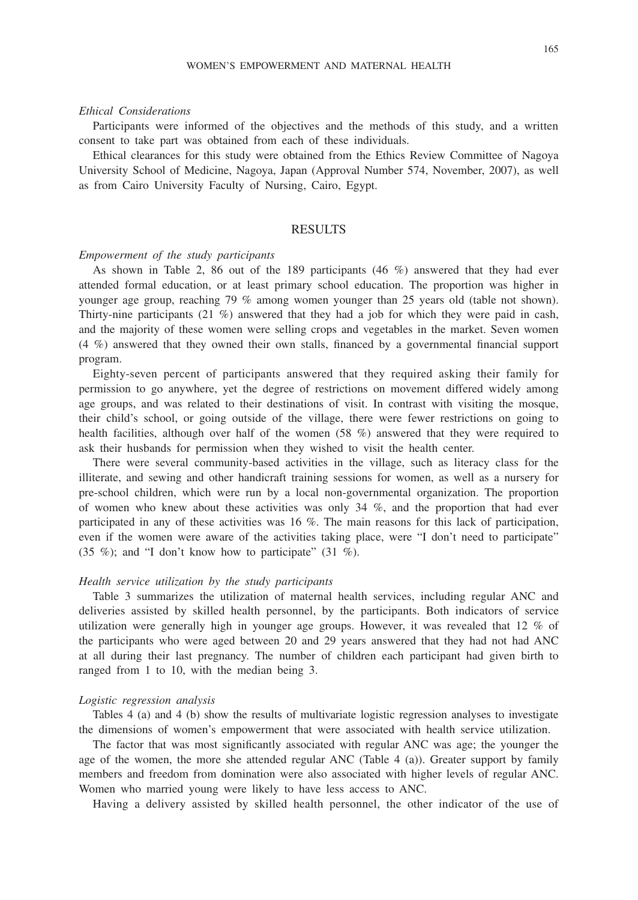#### *Ethical Considerations*

Participants were informed of the objectives and the methods of this study, and a written consent to take part was obtained from each of these individuals.

Ethical clearances for this study were obtained from the Ethics Review Committee of Nagoya University School of Medicine, Nagoya, Japan (Approval Number 574, November, 2007), as well as from Cairo University Faculty of Nursing, Cairo, Egypt.

# **RESULTS**

#### *Empowerment of the study participants*

As shown in Table 2, 86 out of the 189 participants (46 %) answered that they had ever attended formal education, or at least primary school education. The proportion was higher in younger age group, reaching 79 % among women younger than 25 years old (table not shown). Thirty-nine participants (21 %) answered that they had a job for which they were paid in cash, and the majority of these women were selling crops and vegetables in the market. Seven women (4 %) answered that they owned their own stalls, financed by a governmental financial support program.

Eighty-seven percent of participants answered that they required asking their family for permission to go anywhere, yet the degree of restrictions on movement differed widely among age groups, and was related to their destinations of visit. In contrast with visiting the mosque, their child's school, or going outside of the village, there were fewer restrictions on going to health facilities, although over half of the women (58 %) answered that they were required to ask their husbands for permission when they wished to visit the health center.

There were several community-based activities in the village, such as literacy class for the illiterate, and sewing and other handicraft training sessions for women, as well as a nursery for pre-school children, which were run by a local non-governmental organization. The proportion of women who knew about these activities was only  $34\%$ , and the proportion that had ever participated in any of these activities was 16 %. The main reasons for this lack of participation, even if the women were aware of the activities taking place, were "I don't need to participate" (35 %); and "I don't know how to participate" (31 %).

## *Health service utilization by the study participants*

Table 3 summarizes the utilization of maternal health services, including regular ANC and deliveries assisted by skilled health personnel, by the participants. Both indicators of service utilization were generally high in younger age groups. However, it was revealed that 12 % of the participants who were aged between 20 and 29 years answered that they had not had ANC at all during their last pregnancy. The number of children each participant had given birth to ranged from 1 to 10, with the median being 3.

## *Logistic regression analysis*

Tables 4 (a) and 4 (b) show the results of multivariate logistic regression analyses to investigate the dimensions of women's empowerment that were associated with health service utilization.

The factor that was most significantly associated with regular ANC was age; the younger the age of the women, the more she attended regular ANC (Table 4 (a)). Greater support by family members and freedom from domination were also associated with higher levels of regular ANC. Women who married young were likely to have less access to ANC.

Having a delivery assisted by skilled health personnel, the other indicator of the use of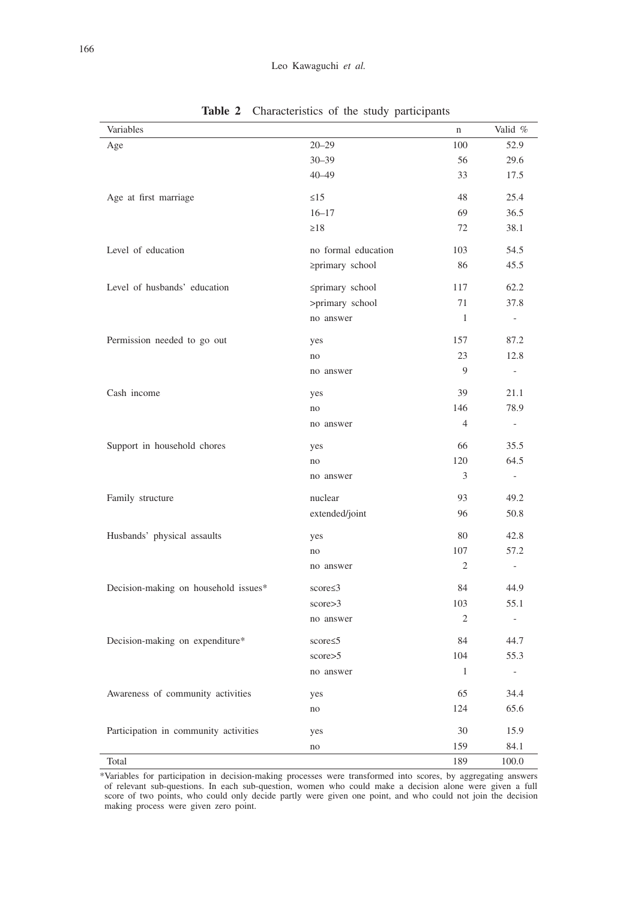| Variables                             |                     | $\mathbf n$    | Valid %                  |
|---------------------------------------|---------------------|----------------|--------------------------|
| Age                                   | $20 - 29$           | 100            | 52.9                     |
|                                       | $30 - 39$           | 56             | 29.6                     |
|                                       | $40 - 49$           | 33             | 17.5                     |
| Age at first marriage                 | $\leq$ 15           | 48             | 25.4                     |
|                                       | $16 - 17$           | 69             | 36.5                     |
|                                       | $\geq$ 18           | 72             | 38.1                     |
| Level of education                    | no formal education | 103            | 54.5                     |
|                                       | ≥primary school     | 86             | 45.5                     |
| Level of husbands' education          | ≤primary school     | 117            | 62.2                     |
|                                       | >primary school     | 71             | 37.8                     |
|                                       | no answer           | 1              | $\sim$                   |
| Permission needed to go out           | yes                 | 157            | 87.2                     |
|                                       | no                  | 23             | 12.8                     |
|                                       | no answer           | 9              | $\frac{1}{2}$            |
| Cash income                           | yes                 | 39             | 21.1                     |
|                                       | no                  | 146            | 78.9                     |
|                                       | no answer           | $\overline{4}$ | $\sim$                   |
| Support in household chores           | yes                 | 66             | 35.5                     |
|                                       | no                  | 120            | 64.5                     |
|                                       | no answer           | 3              | $\overline{\phantom{a}}$ |
| Family structure                      | nuclear             | 93             | 49.2                     |
|                                       | extended/joint      | 96             | 50.8                     |
| Husbands' physical assaults           | yes                 | 80             | 42.8                     |
|                                       | no                  | 107            | 57.2                     |
|                                       | no answer           | 2              | $\overline{\phantom{a}}$ |
| Decision-making on household issues*  | score $\leq$ 3      | 84             | 44.9                     |
|                                       | score > 3           | 103            | 55.1                     |
|                                       | no answer           | 2              | $\sim$                   |
| Decision-making on expenditure*       | score $\leq$ 5      | 84             | 44.7                     |
|                                       | score > 5           | 104            | 55.3                     |
|                                       | no answer           | -1             |                          |
| Awareness of community activities     | yes                 | 65             | 34.4                     |
|                                       | no                  | 124            | 65.6                     |
| Participation in community activities | yes                 | 30             | 15.9                     |
|                                       | no                  | 159            | 84.1                     |
| Total                                 |                     | 189            | 100.0                    |

**Table 2** Characteristics of the study participants

\*Variables for participation in decision-making processes were transformed into scores, by aggregating answers of relevant sub-questions. In each sub-question, women who could make a decision alone were given a full score of two points, who could only decide partly were given one point, and who could not join the decision making process were given zero point.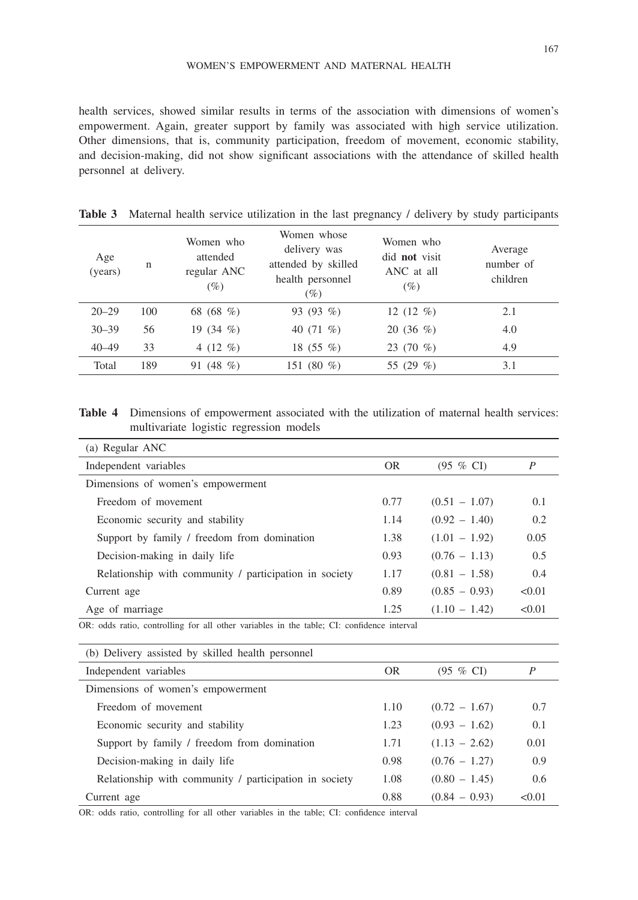health services, showed similar results in terms of the association with dimensions of women's empowerment. Again, greater support by family was associated with high service utilization. Other dimensions, that is, community participation, freedom of movement, economic stability, and decision-making, did not show significant associations with the attendance of skilled health personnel at delivery.

| Age<br>(years) | n   | Women who<br>attended<br>regular ANC<br>$(\%)$ | Women whose<br>delivery was<br>attended by skilled<br>health personnel<br>$(\%)$ | Women who<br>did <b>not</b> visit<br>ANC at all<br>$(\%)$ | Average<br>number of<br>children |
|----------------|-----|------------------------------------------------|----------------------------------------------------------------------------------|-----------------------------------------------------------|----------------------------------|
| $20 - 29$      | 100 | 68 (68 %)                                      | 93 $(93\%$                                                                       | 12 $(12 \%)$                                              | 2.1                              |
| $30 - 39$      | 56  | 19 $(34 \%)$                                   | 40 $(71\%)$                                                                      | $20(36\%)$                                                | 4.0                              |
| $40 - 49$      | 33  | 4 $(12 \, \%$ )                                | 18 (55 $%$ )                                                                     | 23 $(70\%)$                                               | 4.9                              |
| Total          | 189 | 91 (48 $%$ )                                   | 151 (80 $\%$ )                                                                   | 55 $(29\%)$                                               | 3.1                              |

**Table 3** Maternal health service utilization in the last pregnancy / delivery by study participants

**Table 4** Dimensions of empowerment associated with the utilization of maternal health services: multivariate logistic regression models

| (a) Regular ANC                                        |           |                      |        |
|--------------------------------------------------------|-----------|----------------------|--------|
| Independent variables                                  | <b>OR</b> | $(95 \% \text{ CI})$ | P      |
| Dimensions of women's empowerment                      |           |                      |        |
| Freedom of movement                                    | 0.77      | $(0.51 - 1.07)$      | 0.1    |
| Economic security and stability                        | 1.14      | $(0.92 - 1.40)$      | 0.2    |
| Support by family / freedom from domination            | 1.38      | $(1.01 - 1.92)$      | 0.05   |
| Decision-making in daily life                          | 0.93      | $(0.76 - 1.13)$      | 0.5    |
| Relationship with community / participation in society | 1.17      | $(0.81 - 1.58)$      | 0.4    |
| Current age                                            | 0.89      | $(0.85 - 0.93)$      | < 0.01 |
| Age of marriage                                        | 1.25      | $(1.10 - 1.42)$      | < 0.01 |

OR: odds ratio, controlling for all other variables in the table; CI: confidence interval

| (b) Delivery assisted by skilled health personnel      |      |                      |       |
|--------------------------------------------------------|------|----------------------|-------|
| Independent variables                                  | OR.  | $(95 \% \text{ CI})$ | P     |
| Dimensions of women's empowerment                      |      |                      |       |
| Freedom of movement                                    | 1.10 | $(0.72 - 1.67)$      | 0.7   |
| Economic security and stability                        | 1.23 | $(0.93 - 1.62)$      | 0.1   |
| Support by family / freedom from domination            | 1.71 | $(1.13 - 2.62)$      | 0.01  |
| Decision-making in daily life                          | 0.98 | $(0.76 - 1.27)$      | 0.9   |
| Relationship with community / participation in society | 1.08 | $(0.80 - 1.45)$      | 0.6   |
| Current age                                            | 0.88 | $(0.84 - 0.93)$      | <0.01 |

OR: odds ratio, controlling for all other variables in the table; CI: confidence interval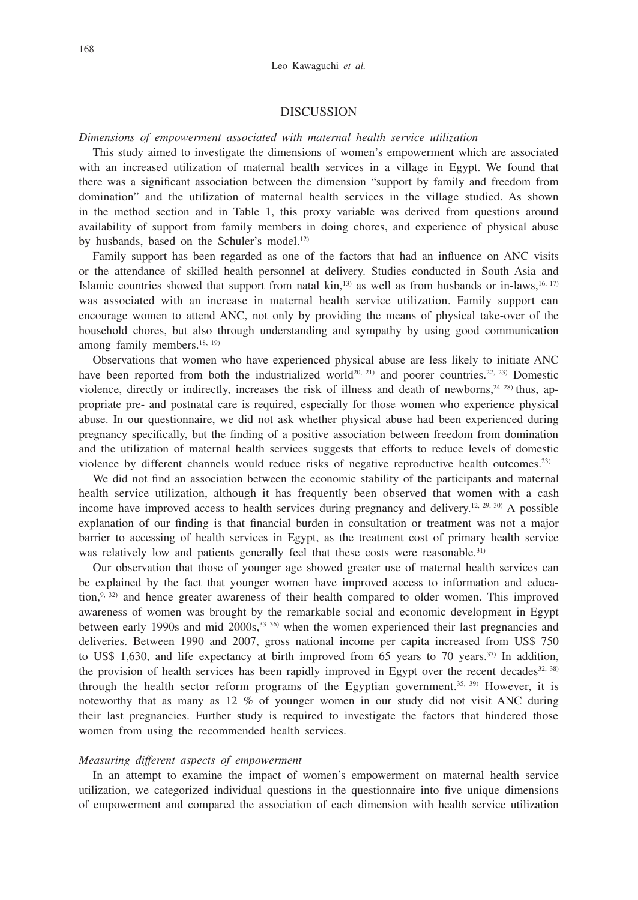# DISCUSSION

### *Dimensions of empowerment associated with maternal health service utilization*

This study aimed to investigate the dimensions of women's empowerment which are associated with an increased utilization of maternal health services in a village in Egypt. We found that there was a significant association between the dimension "support by family and freedom from domination" and the utilization of maternal health services in the village studied. As shown in the method section and in Table 1, this proxy variable was derived from questions around availability of support from family members in doing chores, and experience of physical abuse by husbands, based on the Schuler's model.<sup>12)</sup>

Family support has been regarded as one of the factors that had an influence on ANC visits or the attendance of skilled health personnel at delivery. Studies conducted in South Asia and Islamic countries showed that support from natal  $\text{kin}$ ,<sup>13)</sup> as well as from husbands or in-laws,<sup>16, 17)</sup> was associated with an increase in maternal health service utilization. Family support can encourage women to attend ANC, not only by providing the means of physical take-over of the household chores, but also through understanding and sympathy by using good communication among family members.<sup>18, 19)</sup>

Observations that women who have experienced physical abuse are less likely to initiate ANC have been reported from both the industrialized world<sup>20, 21)</sup> and poorer countries.<sup>22, 23)</sup> Domestic violence, directly or indirectly, increases the risk of illness and death of newborns,  $2^{4-28}$ ) thus, appropriate pre- and postnatal care is required, especially for those women who experience physical abuse. In our questionnaire, we did not ask whether physical abuse had been experienced during pregnancy specifically, but the finding of a positive association between freedom from domination and the utilization of maternal health services suggests that efforts to reduce levels of domestic violence by different channels would reduce risks of negative reproductive health outcomes.<sup>23)</sup>

We did not find an association between the economic stability of the participants and maternal health service utilization, although it has frequently been observed that women with a cash income have improved access to health services during pregnancy and delivery.<sup>12, 29, 30</sup> A possible explanation of our finding is that financial burden in consultation or treatment was not a major barrier to accessing of health services in Egypt, as the treatment cost of primary health service was relatively low and patients generally feel that these costs were reasonable.<sup>31)</sup>

Our observation that those of younger age showed greater use of maternal health services can be explained by the fact that younger women have improved access to information and education, $9, 32$  and hence greater awareness of their health compared to older women. This improved awareness of women was brought by the remarkable social and economic development in Egypt between early 1990s and mid 2000s,33–36) when the women experienced their last pregnancies and deliveries. Between 1990 and 2007, gross national income per capita increased from US\$ 750 to US\$ 1,630, and life expectancy at birth improved from 65 years to 70 years.<sup>37)</sup> In addition, the provision of health services has been rapidly improved in Egypt over the recent decades $32, 38$ ) through the health sector reform programs of the Egyptian government.<sup>35, 39)</sup> However, it is noteworthy that as many as 12 % of younger women in our study did not visit ANC during their last pregnancies. Further study is required to investigate the factors that hindered those women from using the recommended health services.

# *Measuring different aspects of empowerment*

In an attempt to examine the impact of women's empowerment on maternal health service utilization, we categorized individual questions in the questionnaire into five unique dimensions of empowerment and compared the association of each dimension with health service utilization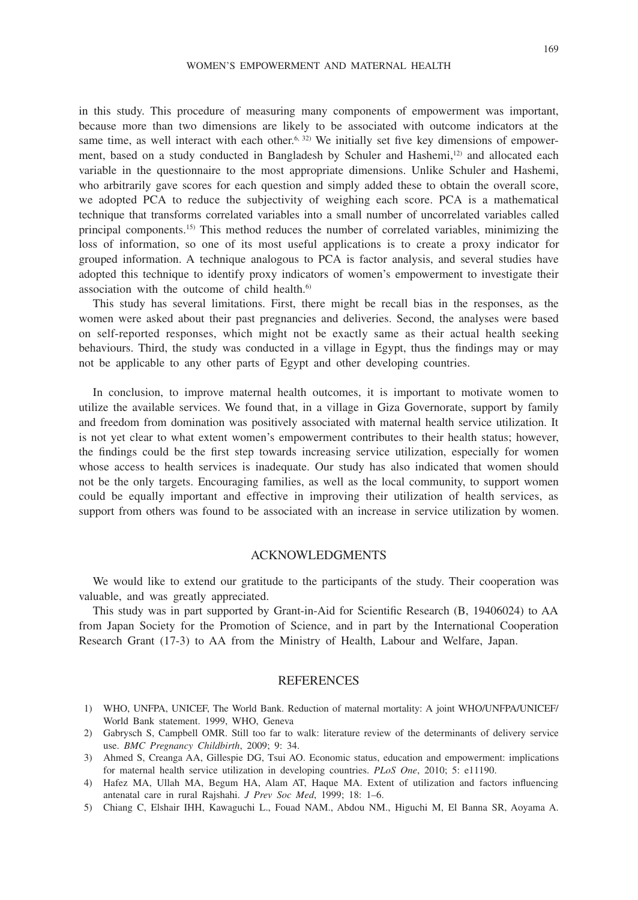in this study. This procedure of measuring many components of empowerment was important, because more than two dimensions are likely to be associated with outcome indicators at the same time, as well interact with each other.<sup>6, 32)</sup> We initially set five key dimensions of empowerment, based on a study conducted in Bangladesh by Schuler and Hashemi,<sup>12</sup> and allocated each variable in the questionnaire to the most appropriate dimensions. Unlike Schuler and Hashemi, who arbitrarily gave scores for each question and simply added these to obtain the overall score, we adopted PCA to reduce the subjectivity of weighing each score. PCA is a mathematical technique that transforms correlated variables into a small number of uncorrelated variables called principal components.15) This method reduces the number of correlated variables, minimizing the loss of information, so one of its most useful applications is to create a proxy indicator for grouped information. A technique analogous to PCA is factor analysis, and several studies have adopted this technique to identify proxy indicators of women's empowerment to investigate their association with the outcome of child health. $6$ )

This study has several limitations. First, there might be recall bias in the responses, as the women were asked about their past pregnancies and deliveries. Second, the analyses were based on self-reported responses, which might not be exactly same as their actual health seeking behaviours. Third, the study was conducted in a village in Egypt, thus the findings may or may not be applicable to any other parts of Egypt and other developing countries.

In conclusion, to improve maternal health outcomes, it is important to motivate women to utilize the available services. We found that, in a village in Giza Governorate, support by family and freedom from domination was positively associated with maternal health service utilization. It is not yet clear to what extent women's empowerment contributes to their health status; however, the findings could be the first step towards increasing service utilization, especially for women whose access to health services is inadequate. Our study has also indicated that women should not be the only targets. Encouraging families, as well as the local community, to support women could be equally important and effective in improving their utilization of health services, as support from others was found to be associated with an increase in service utilization by women.

# ACKNOWLEDGMENTS

We would like to extend our gratitude to the participants of the study. Their cooperation was valuable, and was greatly appreciated.

This study was in part supported by Grant-in-Aid for Scientific Research (B, 19406024) to AA from Japan Society for the Promotion of Science, and in part by the International Cooperation Research Grant (17-3) to AA from the Ministry of Health, Labour and Welfare, Japan.

## REFERENCES

- 1) WHO, UNFPA, UNICEF, The World Bank. Reduction of maternal mortality: A joint WHO/UNFPA/UNICEF/ World Bank statement. 1999, WHO, Geneva
- 2) Gabrysch S, Campbell OMR. Still too far to walk: literature review of the determinants of delivery service use. *BMC Pregnancy Childbirth*, 2009; 9: 34.
- 3) Ahmed S, Creanga AA, Gillespie DG, Tsui AO. Economic status, education and empowerment: implications for maternal health service utilization in developing countries. *PLoS One*, 2010; 5: e11190.
- 4) Hafez MA, Ullah MA, Begum HA, Alam AT, Haque MA. Extent of utilization and factors influencing antenatal care in rural Rajshahi. *J Prev Soc Med*, 1999; 18: 1–6.
- 5) Chiang C, Elshair IHH, Kawaguchi L., Fouad NAM., Abdou NM., Higuchi M, El Banna SR, Aoyama A.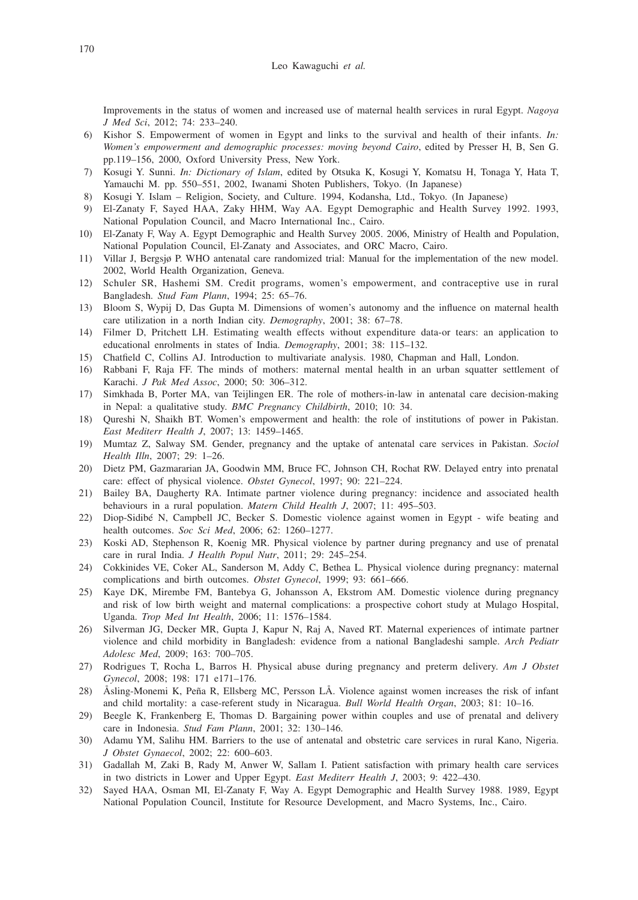#### Leo Kawaguchi *et al.*

Improvements in the status of women and increased use of maternal health services in rural Egypt. *Nagoya J Med Sci*, 2012; 74: 233–240.

- 6) Kishor S. Empowerment of women in Egypt and links to the survival and health of their infants. *In: Women's empowerment and demographic processes: moving beyond Cairo*, edited by Presser H, B, Sen G. pp.119–156, 2000, Oxford University Press, New York.
- 7) Kosugi Y. Sunni. *In: Dictionary of Islam*, edited by Otsuka K, Kosugi Y, Komatsu H, Tonaga Y, Hata T, Yamauchi M. pp. 550–551, 2002, Iwanami Shoten Publishers, Tokyo. (In Japanese)
- 8) Kosugi Y. Islam Religion, Society, and Culture. 1994, Kodansha, Ltd., Tokyo. (In Japanese)
- 9) El-Zanaty F, Sayed HAA, Zaky HHM, Way AA. Egypt Demographic and Health Survey 1992. 1993, National Population Council, and Macro International Inc., Cairo.
- 10) El-Zanaty F, Way A. Egypt Demographic and Health Survey 2005. 2006, Ministry of Health and Population, National Population Council, El-Zanaty and Associates, and ORC Macro, Cairo.
- 11) Villar J, Bergsjø P. WHO antenatal care randomized trial: Manual for the implementation of the new model. 2002, World Health Organization, Geneva.
- 12) Schuler SR, Hashemi SM. Credit programs, women's empowerment, and contraceptive use in rural Bangladesh. *Stud Fam Plann*, 1994; 25: 65–76.
- 13) Bloom S, Wypij D, Das Gupta M. Dimensions of women's autonomy and the influence on maternal health care utilization in a north Indian city. *Demography*, 2001; 38: 67–78.
- 14) Filmer D, Pritchett LH. Estimating wealth effects without expenditure data-or tears: an application to educational enrolments in states of India. *Demography*, 2001; 38: 115–132.
- 15) Chatfield C, Collins AJ. Introduction to multivariate analysis. 1980, Chapman and Hall, London.
- 16) Rabbani F, Raja FF. The minds of mothers: maternal mental health in an urban squatter settlement of Karachi. *J Pak Med Assoc*, 2000; 50: 306–312.
- 17) Simkhada B, Porter MA, van Teijlingen ER. The role of mothers-in-law in antenatal care decision-making in Nepal: a qualitative study. *BMC Pregnancy Childbirth*, 2010; 10: 34.
- 18) Qureshi N, Shaikh BT. Women's empowerment and health: the role of institutions of power in Pakistan. *East Mediterr Health J*, 2007; 13: 1459–1465.
- 19) Mumtaz Z, Salway SM. Gender, pregnancy and the uptake of antenatal care services in Pakistan. *Sociol Health Illn*, 2007; 29: 1–26.
- 20) Dietz PM, Gazmararian JA, Goodwin MM, Bruce FC, Johnson CH, Rochat RW. Delayed entry into prenatal care: effect of physical violence. *Obstet Gynecol*, 1997; 90: 221–224.
- 21) Bailey BA, Daugherty RA. Intimate partner violence during pregnancy: incidence and associated health behaviours in a rural population. *Matern Child Health J*, 2007; 11: 495–503.
- 22) Diop-Sidibé N, Campbell JC, Becker S. Domestic violence against women in Egypt wife beating and health outcomes. *Soc Sci Med*, 2006; 62: 1260–1277.
- 23) Koski AD, Stephenson R, Koenig MR. Physical violence by partner during pregnancy and use of prenatal care in rural India. *J Health Popul Nutr*, 2011; 29: 245–254.
- 24) Cokkinides VE, Coker AL, Sanderson M, Addy C, Bethea L. Physical violence during pregnancy: maternal complications and birth outcomes. *Obstet Gynecol*, 1999; 93: 661–666.
- 25) Kaye DK, Mirembe FM, Bantebya G, Johansson A, Ekstrom AM. Domestic violence during pregnancy and risk of low birth weight and maternal complications: a prospective cohort study at Mulago Hospital, Uganda. *Trop Med Int Health*, 2006; 11: 1576–1584.
- 26) Silverman JG, Decker MR, Gupta J, Kapur N, Raj A, Naved RT. Maternal experiences of intimate partner violence and child morbidity in Bangladesh: evidence from a national Bangladeshi sample. *Arch Pediatr Adolesc Med*, 2009; 163: 700–705.
- 27) Rodrigues T, Rocha L, Barros H. Physical abuse during pregnancy and preterm delivery. *Am J Obstet Gynecol*, 2008; 198: 171 e171–176.
- 28) Åsling-Monemi K, Peña R, Ellsberg MC, Persson LÅ. Violence against women increases the risk of infant and child mortality: a case-referent study in Nicaragua. *Bull World Health Organ*, 2003; 81: 10–16.
- 29) Beegle K, Frankenberg E, Thomas D. Bargaining power within couples and use of prenatal and delivery care in Indonesia. *Stud Fam Plann*, 2001; 32: 130–146.
- 30) Adamu YM, Salihu HM. Barriers to the use of antenatal and obstetric care services in rural Kano, Nigeria. *J Obstet Gynaecol*, 2002; 22: 600–603.
- 31) Gadallah M, Zaki B, Rady M, Anwer W, Sallam I. Patient satisfaction with primary health care services in two districts in Lower and Upper Egypt. *East Mediterr Health J*, 2003; 9: 422–430.
- 32) Sayed HAA, Osman MI, El-Zanaty F, Way A. Egypt Demographic and Health Survey 1988. 1989, Egypt National Population Council, Institute for Resource Development, and Macro Systems, Inc., Cairo.